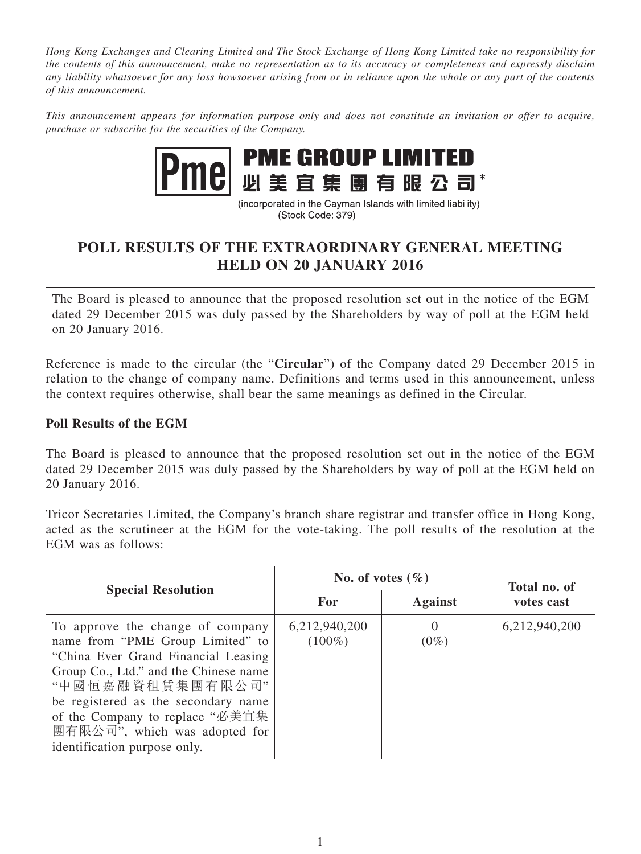*Hong Kong Exchanges and Clearing Limited and The Stock Exchange of Hong Kong Limited take no responsibility for the contents of this announcement, make no representation as to its accuracy or completeness and expressly disclaim any liability whatsoever for any loss howsoever arising from or in reliance upon the whole or any part of the contents of this announcement.*

*This announcement appears for information purpose only and does not constitute an invitation or offer to acquire, purchase or subscribe for the securities of the Company.*



(incorporated in the Cayman Islands with limited liability) (Stock Code: 379)

## **POLL RESULTS OF THE EXTRAORDINARY GENERAL MEETING HELD ON 20 JANUARY 2016**

The Board is pleased to announce that the proposed resolution set out in the notice of the EGM dated 29 December 2015 was duly passed by the Shareholders by way of poll at the EGM held on 20 January 2016.

Reference is made to the circular (the "**Circular**") of the Company dated 29 December 2015 in relation to the change of company name. Definitions and terms used in this announcement, unless the context requires otherwise, shall bear the same meanings as defined in the Circular.

## **Poll Results of the EGM**

The Board is pleased to announce that the proposed resolution set out in the notice of the EGM dated 29 December 2015 was duly passed by the Shareholders by way of poll at the EGM held on 20 January 2016.

Tricor Secretaries Limited, the Company's branch share registrar and transfer office in Hong Kong, acted as the scrutineer at the EGM for the vote-taking. The poll results of the resolution at the EGM was as follows:

| <b>Special Resolution</b>                                                                                                                                                                                                                                                                                           | No. of votes $(\% )$       |                | Total no. of  |
|---------------------------------------------------------------------------------------------------------------------------------------------------------------------------------------------------------------------------------------------------------------------------------------------------------------------|----------------------------|----------------|---------------|
|                                                                                                                                                                                                                                                                                                                     | For                        | <b>Against</b> | votes cast    |
| To approve the change of company<br>name from "PME Group Limited" to<br>"China Ever Grand Financial Leasing<br>Group Co., Ltd." and the Chinese name<br>"中國恒嘉融資租賃集團有限公司"<br>be registered as the secondary name<br>of the Company to replace "必美宜集<br>團有限公司", which was adopted for<br>identification purpose only. | 6,212,940,200<br>$(100\%)$ | $(0\%)$        | 6,212,940,200 |